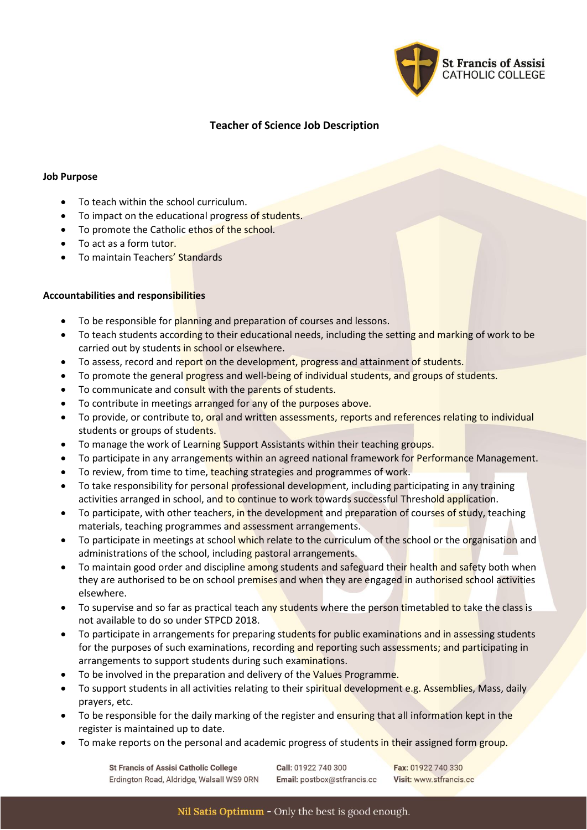

# **Teacher of Science Job Description**

## **Job Purpose**

- To teach within the school curriculum.
- To impact on the educational progress of students.
- To promote the Catholic ethos of the school.
- To act as a form tutor.
- To maintain Teachers' Standards

## **Accountabilities and responsibilities**

- To be responsible for planning and preparation of courses and lessons.
- To teach students according to their educational needs, including the setting and marking of work to be carried out by students in school or elsewhere.
- To assess, record and report on the development, progress and attainment of students.
- To promote the general progress and well-being of individual students, and groups of students.
- To communicate and consult with the parents of students.
- To contribute in meetings arranged for any of the purposes above.
- To provide, or contribute to, oral and written assessments, reports and references relating to individual students or groups of students.
- To manage the work of Learning Support Assistants within their teaching groups.
- To participate in any arrangements within an agreed national framework for Performance Management.
- To review, from time to time, teaching strategies and programmes of work.
- To take responsibility for personal professional development, including participating in any training activities arranged in school, and to continue to work towards successful Threshold application.
- To participate, with other teachers, in the development and preparation of courses of study, teaching materials, teaching programmes and assessment arrangements.
- To participate in meetings at school which relate to the curriculum of the school or the organisation and administrations of the school, including pastoral arrangements.
- To maintain good order and discipline among students and safeguard their health and safety both when they are authorised to be on school premises and when they are engaged in authorised school activities elsewhere.
- To supervise and so far as practical teach any students where the person timetabled to take the class is not available to do so under STPCD 2018.
- To participate in arrangements for preparing students for public examinations and in assessing students for the purposes of such examinations, recording and reporting such assessments; and participating in arrangements to support students during such examinations.
- To be involved in the preparation and delivery of the Values Programme.
- To support students in all activities relating to their spiritual development e.g. Assemblies, Mass, daily prayers, etc.
- To be responsible for the daily marking of the register and ensuring that all information kept in the register is maintained up to date.
- To make reports on the personal and academic progress of students in their assigned form group.

**St Francis of Assisi Catholic College** Erdington Road, Aldridge, Walsall WS9 ORN Call: 01922 740 300 Email: postbox@stfrancis.cc

Fax: 01922 740 330 Visit: www.stfrancis.cc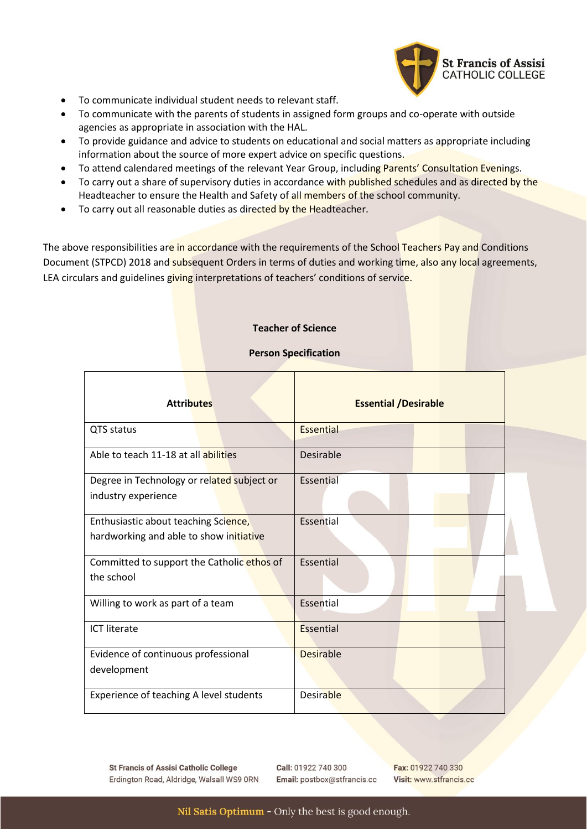

- To communicate individual student needs to relevant staff.
- To communicate with the parents of students in assigned form groups and co-operate with outside agencies as appropriate in association with the HAL.
- To provide guidance and advice to students on educational and social matters as appropriate including information about the source of more expert advice on specific questions.
- To attend calendared meetings of the relevant Year Group, including Parents' Consultation Evenings.
- To carry out a share of supervisory duties in accordance with published schedules and as directed by the Headteacher to ensure the Health and Safety of all members of the school community.
- To carry out all reasonable duties as directed by the Headteacher.

The above responsibilities are in accordance with the requirements of the School Teachers Pay and Conditions Document (STPCD) 2018 and subsequent Orders in terms of duties and working time, also any local agreements, LEA circulars and guidelines giving interpretations of teachers' conditions of service.

## **Teacher of Science**

## **Person Specification**

| <b>Attributes</b>                                                               | <b>Essential /Desirable</b> |
|---------------------------------------------------------------------------------|-----------------------------|
| QTS status                                                                      | <b>Essential</b>            |
| Able to teach 11-18 at all abilities                                            | Desirable                   |
| Degree in Technology or related subject or<br>industry experience               | Essential                   |
| Enthusiastic about teaching Science,<br>hardworking and able to show initiative | Essential                   |
| Committed to support the Catholic ethos of<br>the school                        | Essential                   |
| Willing to work as part of a team                                               | Essential                   |
| <b>ICT literate</b>                                                             | Essential                   |
| Evidence of continuous professional<br>development                              | <b>Desirable</b>            |
| Experience of teaching A level students                                         | <b>Desirable</b>            |

**St Francis of Assisi Catholic College** Erdington Road, Aldridge, Walsall WS9 ORN Call: 01922 740 300 Email: postbox@stfrancis.cc Fax: 01922 740 330 Visit: www.stfrancis.cc